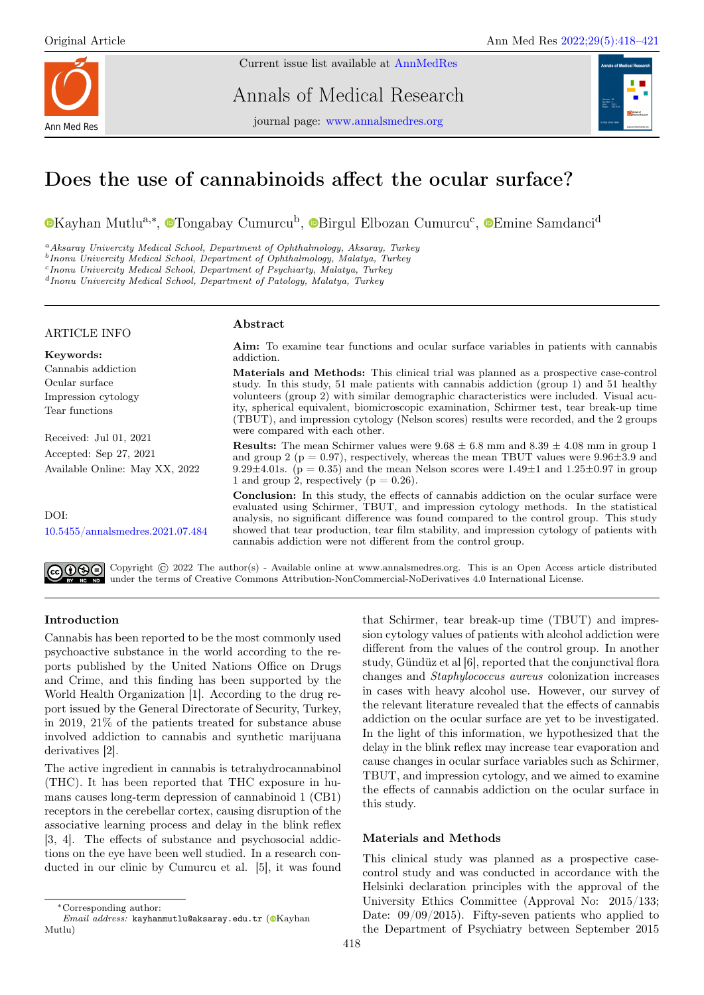

Current issue list available at [AnnMedRes](https://annalsmedres.org/index.php/aomr/issue/view/163)

Annals of Medical Research

journal page: [www.annalsmedres.org](https://www.annalsmedres.org)



# Does the use of cannabinoids affect the ocular surface?

[K](https://orcid.org/0000-0001-7447-2551)ayhan Mutlu<sup>a,∗</sup>, <sup>®</sup>[T](https://orcid.org/0000-0003-0339-4140)ongabay Cumurcu<sup>b</sup>, <sup>®</sup>[B](https://orcid.org/0000-0001-9289-837X)irgul [E](https://orcid.org/0000-0002-0034-5186)lbozan Cumurcu<sup>c</sup>, ®Emine Samdanci<sup>d</sup>

<sup>a</sup>Aksaray Univercity Medical School, Department of Ophthalmology, Aksaray, Turkey

b Inonu Univercity Medical School, Department of Ophthalmology, Malatya, Turkey

c Inonu Univercity Medical School, Department of Psychiarty, Malatya, Turkey

 $d$ Inonu Univercity Medical School, Department of Patology, Malatya, Turkey

## ARTICLE INFO

### Abstract

Keywords: Cannabis addiction Ocular surface Impression cytology Tear functions Received: Jul 01, 2021 Accepted: Sep 27, 2021 Available Online: May XX, 2022  $DOI·$ [10.5455/annalsmedres.2021.07.484](https://doi.org/10.5455/annalsmedres.2021.07.484) Aim: To examine tear functions and ocular surface variables in patients with cannabis addiction. Materials and Methods: This clinical trial was planned as a prospective case-control study. In this study, 51 male patients with cannabis addiction (group 1) and 51 healthy volunteers (group 2) with similar demographic characteristics were included. Visual acuity, spherical equivalent, biomicroscopic examination, Schirmer test, tear break-up time (TBUT), and impression cytology (Nelson scores) results were recorded, and the 2 groups were compared with each other. **Results:** The mean Schirmer values were  $9.68 \pm 6.8$  mm and  $8.39 \pm 4.08$  mm in group 1 and group 2 ( $p = 0.97$ ), respectively, whereas the mean TBUT values were 9.96 $\pm$ 3.9 and 9.29 $\pm$ 4.01s. (p = 0.35) and the mean Nelson scores were 1.49 $\pm$ 1 and 1.25 $\pm$ 0.97 in group 1 and group 2, respectively ( $p = 0.26$ ). Conclusion: In this study, the effects of cannabis addiction on the ocular surface were evaluated using Schirmer, TBUT, and impression cytology methods. In the statistical analysis, no significant difference was found compared to the control group. This study showed that tear production, tear film stability, and impression cytology of patients with cannabis addiction were not different from the control group.

Copyright  $\odot$  2022 The author(s) - Available online at www.annalsmedres.org. This is an Open Access article distributed under the terms of Creative Commons Attribution-NonCommercial-NoDerivatives 4.0 International License.

## Introduction

Cannabis has been reported to be the most commonly used psychoactive substance in the world according to the reports published by the United Nations Office on Drugs and Crime, and this finding has been supported by the World Health Organization [1]. According to the drug report issued by the General Directorate of Security, Turkey, in 2019, 21% of the patients treated for substance abuse involved addiction to cannabis and synthetic marijuana derivatives [2].

The active ingredient in cannabis is tetrahydrocannabinol (THC). It has been reported that THC exposure in humans causes long-term depression of cannabinoid 1 (CB1) receptors in the cerebellar cortex, causing disruption of the associative learning process and delay in the blink reflex [3, 4]. The effects of substance and psychosocial addictions on the eye have been well studied. In a research conducted in our clinic by Cumurcu et al. [5], it was found

that Schirmer, tear break-up time (TBUT) and impression cytology values of patients with alcohol addiction were different from the values of the control group. In another study, Gündüz et al [6], reported that the conjunctival flora changes and Staphylococcus aureus colonization increases in cases with heavy alcohol use. However, our survey of the relevant literature revealed that the effects of cannabis addiction on the ocular surface are yet to be investigated. In the light of this information, we hypothesized that the delay in the blink reflex may increase tear evaporation and cause changes in ocular surface variables such as Schirmer, TBUT, and impression cytology, and we aimed to examine the effects of cannabis addiction on the ocular surface in this study.

# Materials and Methods

This clinical study was planned as a prospective casecontrol study and was conducted in accordance with the Helsinki declaration principles with the approval of the University Ethics Committee (Approval No: 2015/133; Date:  $09/09/2015$ . Fifty-seven patients who applied to the Department of Psychiatry between September 2015

<sup>∗</sup>Corresponding author:

 $Email \ address:$  kayhanmutlu@aksaray.edu.tr ( $@$ [K](https://orcid.org/0000-0001-7447-2551)ayhan Mutlu)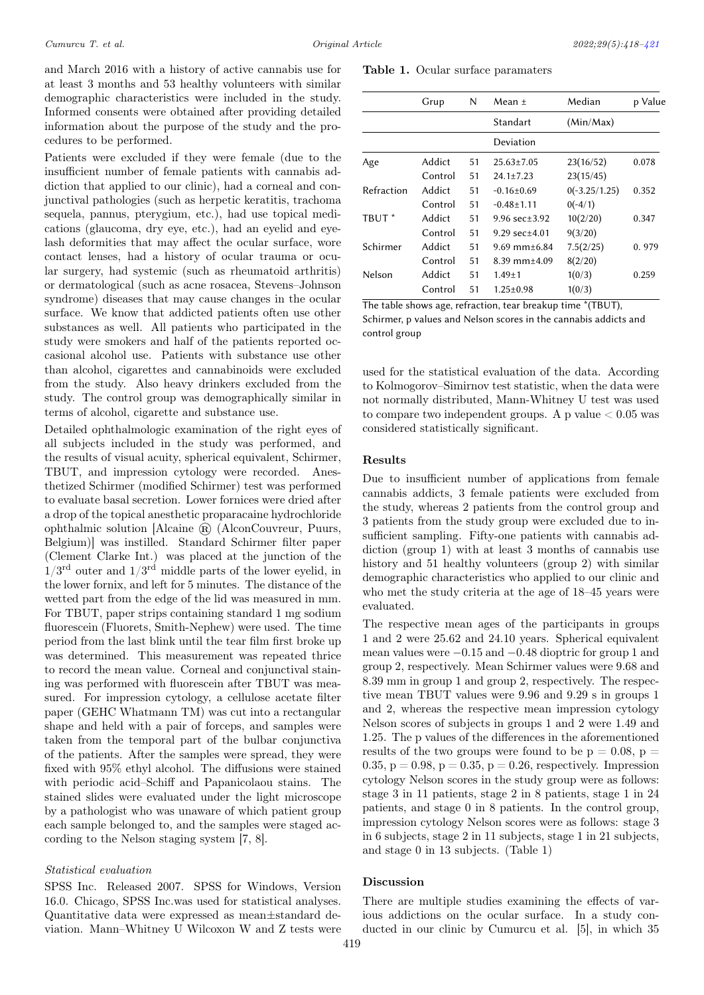and March 2016 with a history of active cannabis use for at least 3 months and 53 healthy volunteers with similar demographic characteristics were included in the study. Informed consents were obtained after providing detailed information about the purpose of the study and the procedures to be performed.

Patients were excluded if they were female (due to the insufficient number of female patients with cannabis addiction that applied to our clinic), had a corneal and conjunctival pathologies (such as herpetic keratitis, trachoma sequela, pannus, pterygium, etc.), had use topical medications (glaucoma, dry eye, etc.), had an eyelid and eyelash deformities that may affect the ocular surface, wore contact lenses, had a history of ocular trauma or ocular surgery, had systemic (such as rheumatoid arthritis) or dermatological (such as acne rosacea, Stevens–Johnson syndrome) diseases that may cause changes in the ocular surface. We know that addicted patients often use other substances as well. All patients who participated in the study were smokers and half of the patients reported occasional alcohol use. Patients with substance use other than alcohol, cigarettes and cannabinoids were excluded from the study. Also heavy drinkers excluded from the study. The control group was demographically similar in terms of alcohol, cigarette and substance use.

Detailed ophthalmologic examination of the right eyes of all subjects included in the study was performed, and the results of visual acuity, spherical equivalent, Schirmer, TBUT, and impression cytology were recorded. Anesthetized Schirmer (modified Schirmer) test was performed to evaluate basal secretion. Lower fornices were dried after a drop of the topical anesthetic proparacaine hydrochloride ophthalmic solution [Alcaine  $\circledR$  (AlconCouvreur, Puurs, Belgium)] was instilled. Standard Schirmer filter paper (Clement Clarke Int.) was placed at the junction of the  $1/3^{\text{rd}}$  outer and  $1/3^{\text{rd}}$  middle parts of the lower eyelid, in the lower fornix, and left for 5 minutes. The distance of the wetted part from the edge of the lid was measured in mm. For TBUT, paper strips containing standard 1 mg sodium fluorescein (Fluorets, Smith-Nephew) were used. The time period from the last blink until the tear film first broke up was determined. This measurement was repeated thrice to record the mean value. Corneal and conjunctival staining was performed with fluorescein after TBUT was measured. For impression cytology, a cellulose acetate filter paper (GEHC Whatmann TM) was cut into a rectangular shape and held with a pair of forceps, and samples were taken from the temporal part of the bulbar conjunctiva of the patients. After the samples were spread, they were fixed with 95% ethyl alcohol. The diffusions were stained with periodic acid–Schiff and Papanicolaou stains. The stained slides were evaluated under the light microscope by a pathologist who was unaware of which patient group each sample belonged to, and the samples were staged according to the Nelson staging system [7, 8].

#### Statistical evaluation

SPSS Inc. Released 2007. SPSS for Windows, Version 16.0. Chicago, SPSS Inc.was used for statistical analyses. Quantitative data were expressed as mean±standard deviation. Mann–Whitney U Wilcoxon W and Z tests were

Table 1. Ocular surface paramaters

<span id="page-1-0"></span>

|                   | Grup    | N  | Mean $\pm$                  | Median          | p Value |
|-------------------|---------|----|-----------------------------|-----------------|---------|
|                   |         |    | Standart                    | (Min/Max)       |         |
|                   |         |    | Deviation                   |                 |         |
| Age               | Addict  | 51 | $25.63 \pm 7.05$            | 23(16/52)       | 0.078   |
|                   | Control | 51 | $24.1 \pm 7.23$             | 23(15/45)       |         |
| Refraction        | Addict  | 51 | $-0.16\pm0.69$              | $0(-3.25/1.25)$ | 0.352   |
|                   | Control | 51 | $-0.48 \pm 1.11$            | $0(-4/1)$       |         |
| TBUT <sup>*</sup> | Addict  | 51 | $9.96 \text{ sec} \pm 3.92$ | 10(2/20)        | 0.347   |
|                   | Control | 51 | 9.29 $sec \pm 4.01$         | 9(3/20)         |         |
| Schirmer          | Addict  | 51 | 9.69 mm $\pm$ 6.84          | 7.5(2/25)       | 0.979   |
|                   | Control | 51 | $8.39$ mm $\pm 4.09$        | 8(2/20)         |         |
| Nelson            | Addict  | 51 | $1.49 \pm 1$                | 1(0/3)          | 0.259   |
|                   | Control | 51 | $1.25 \pm 0.98$             | 1(0/3)          |         |

The table shows age, refraction, tear breakup time \*(TBUT), Schirmer, p values and Nelson scores in the cannabis addicts and control group

used for the statistical evaluation of the data. According to Kolmogorov–Simirnov test statistic, when the data were not normally distributed, Mann-Whitney U test was used to compare two independent groups. A p value  $< 0.05$  was considered statistically significant.

### Results

Due to insufficient number of applications from female cannabis addicts, 3 female patients were excluded from the study, whereas 2 patients from the control group and 3 patients from the study group were excluded due to insufficient sampling. Fifty-one patients with cannabis addiction (group 1) with at least 3 months of cannabis use history and 51 healthy volunteers (group 2) with similar demographic characteristics who applied to our clinic and who met the study criteria at the age of 18–45 years were evaluated.

The respective mean ages of the participants in groups 1 and 2 were 25.62 and 24.10 years. Spherical equivalent mean values were −0.15 and −0.48 dioptric for group 1 and group 2, respectively. Mean Schirmer values were 9.68 and 8.39 mm in group 1 and group 2, respectively. The respective mean TBUT values were 9.96 and 9.29 s in groups 1 and 2, whereas the respective mean impression cytology Nelson scores of subjects in groups 1 and 2 were 1.49 and 1.25. The p values of the differences in the aforementioned results of the two groups were found to be  $p = 0.08$ ,  $p =$ 0.35,  $p = 0.98$ ,  $p = 0.35$ ,  $p = 0.26$ , respectively. Impression cytology Nelson scores in the study group were as follows: stage 3 in 11 patients, stage 2 in 8 patients, stage 1 in 24 patients, and stage 0 in 8 patients. In the control group, impression cytology Nelson scores were as follows: stage 3 in 6 subjects, stage 2 in 11 subjects, stage 1 in 21 subjects, and stage 0 in 13 subjects. (Table 1)

#### Discussion

There are multiple studies examining the effects of various addictions on the ocular surface. In a study conducted in our clinic by Cumurcu et al. [5], in which 35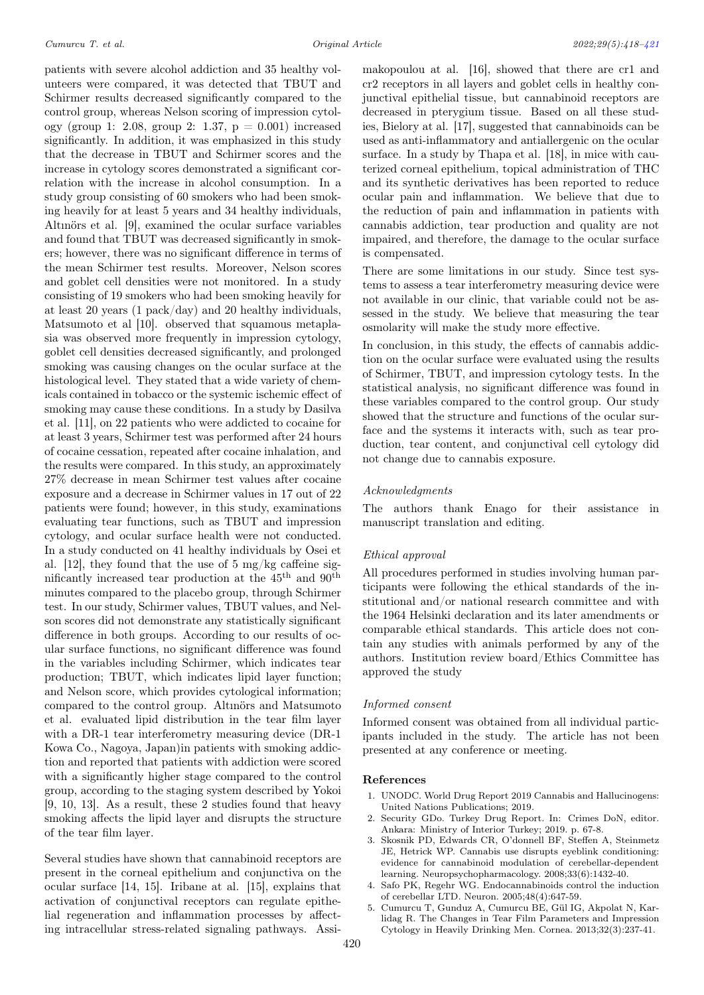patients with severe alcohol addiction and 35 healthy volunteers were compared, it was detected that TBUT and Schirmer results decreased significantly compared to the control group, whereas Nelson scoring of impression cytology (group 1: 2.08, group 2: 1.37, p = 0.001) increased significantly. In addition, it was emphasized in this study that the decrease in TBUT and Schirmer scores and the increase in cytology scores demonstrated a significant correlation with the increase in alcohol consumption. In a study group consisting of 60 smokers who had been smoking heavily for at least 5 years and 34 healthy individuals, Altınörs et al. [9], examined the ocular surface variables and found that TBUT was decreased significantly in smokers; however, there was no significant difference in terms of the mean Schirmer test results. Moreover, Nelson scores and goblet cell densities were not monitored. In a study consisting of 19 smokers who had been smoking heavily for at least 20 years (1 pack/day) and 20 healthy individuals, Matsumoto et al [10]. observed that squamous metaplasia was observed more frequently in impression cytology, goblet cell densities decreased significantly, and prolonged smoking was causing changes on the ocular surface at the histological level. They stated that a wide variety of chemicals contained in tobacco or the systemic ischemic effect of smoking may cause these conditions. In a study by Dasilva et al. [11], on 22 patients who were addicted to cocaine for at least 3 years, Schirmer test was performed after 24 hours of cocaine cessation, repeated after cocaine inhalation, and the results were compared. In this study, an approximately 27% decrease in mean Schirmer test values after cocaine exposure and a decrease in Schirmer values in 17 out of 22 patients were found; however, in this study, examinations evaluating tear functions, such as TBUT and impression cytology, and ocular surface health were not conducted. In a study conducted on 41 healthy individuals by Osei et al. [12], they found that the use of 5 mg/kg caffeine significantly increased tear production at the  $45^{\text{th}}$  and  $90^{\text{th}}$ minutes compared to the placebo group, through Schirmer test. In our study, Schirmer values, TBUT values, and Nelson scores did not demonstrate any statistically significant difference in both groups. According to our results of ocular surface functions, no significant difference was found in the variables including Schirmer, which indicates tear production; TBUT, which indicates lipid layer function; and Nelson score, which provides cytological information; compared to the control group. Altınörs and Matsumoto et al. evaluated lipid distribution in the tear film layer with a DR-1 tear interferometry measuring device (DR-1 Kowa Co., Nagoya, Japan)in patients with smoking addiction and reported that patients with addiction were scored with a significantly higher stage compared to the control group, according to the staging system described by Yokoi [9, 10, 13]. As a result, these 2 studies found that heavy smoking affects the lipid layer and disrupts the structure of the tear film layer.

Several studies have shown that cannabinoid receptors are present in the corneal epithelium and conjunctiva on the ocular surface [14, 15]. Iribane at al. [15], explains that activation of conjunctival receptors can regulate epithelial regeneration and inflammation processes by affecting intracellular stress-related signaling pathways. Assimakopoulou at al. [16], showed that there are cr1 and cr2 receptors in all layers and goblet cells in healthy conjunctival epithelial tissue, but cannabinoid receptors are decreased in pterygium tissue. Based on all these studies, Bielory at al. [17], suggested that cannabinoids can be used as anti-inflammatory and antiallergenic on the ocular surface. In a study by Thapa et al. [18], in mice with cauterized corneal epithelium, topical administration of THC and its synthetic derivatives has been reported to reduce ocular pain and inflammation. We believe that due to the reduction of pain and inflammation in patients with cannabis addiction, tear production and quality are not impaired, and therefore, the damage to the ocular surface is compensated.

There are some limitations in our study. Since test systems to assess a tear interferometry measuring device were not available in our clinic, that variable could not be assessed in the study. We believe that measuring the tear osmolarity will make the study more effective.

In conclusion, in this study, the effects of cannabis addiction on the ocular surface were evaluated using the results of Schirmer, TBUT, and impression cytology tests. In the statistical analysis, no significant difference was found in these variables compared to the control group. Our study showed that the structure and functions of the ocular surface and the systems it interacts with, such as tear production, tear content, and conjunctival cell cytology did not change due to cannabis exposure.

#### Acknowledgments

The authors thank Enago for their assistance in manuscript translation and editing.

### Ethical approval

All procedures performed in studies involving human participants were following the ethical standards of the institutional and/or national research committee and with the 1964 Helsinki declaration and its later amendments or comparable ethical standards. This article does not contain any studies with animals performed by any of the authors. Institution review board/Ethics Committee has approved the study

#### Informed consent

Informed consent was obtained from all individual participants included in the study. The article has not been presented at any conference or meeting.

#### References

- 1. UNODC. World Drug Report 2019 Cannabis and Hallucinogens: United Nations Publications; 2019.
- 2. Security GDo. Turkey Drug Report. In: Crimes DoN, editor. Ankara: Ministry of Interior Turkey; 2019. p. 67-8.
- 3. Skosnik PD, Edwards CR, O'donnell BF, Steffen A, Steinmetz JE, Hetrick WP. Cannabis use disrupts eyeblink conditioning: evidence for cannabinoid modulation of cerebellar-dependent learning. Neuropsychopharmacology. 2008;33(6):1432-40.
- 4. Safo PK, Regehr WG. Endocannabinoids control the induction of cerebellar LTD. Neuron. 2005;48(4):647-59.
- 5. Cumurcu T, Gunduz A, Cumurcu BE, Gül IG, Akpolat N, Karlidag R. The Changes in Tear Film Parameters and Impression Cytology in Heavily Drinking Men. Cornea. 2013;32(3):237-41.